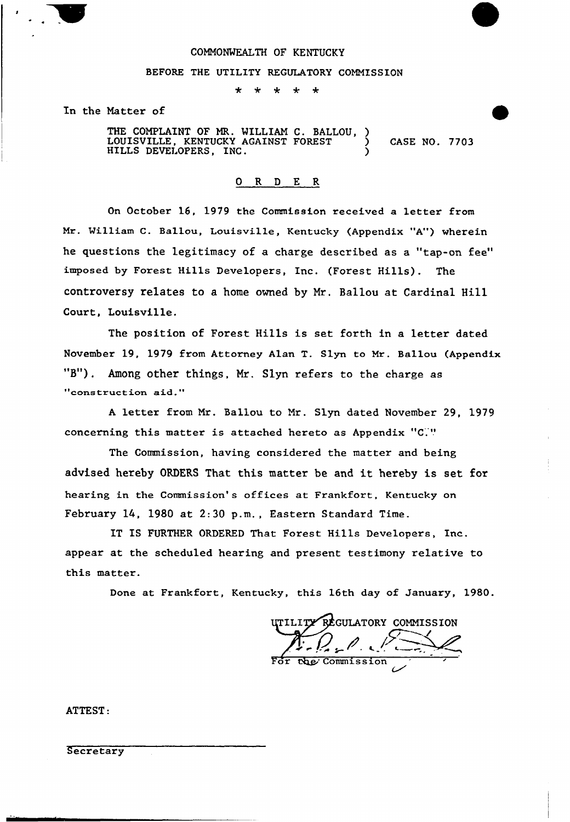## COMMONWEALTH OF KENTUCKY

## BEFORE THE UTILITY REGULATORY COMMISSION

 $\ddot{\textbf{r}}$ 

In the Matter of

THE COMPLAINT OF MR. WILLIAM C. BALLOU, ) LOUISVILLE, KENTUCKY AGAINST FOREST  $\left( \begin{array}{cc} 0 & 0 & 0 \\ 0 & 0 & 0 \\ 0 & 0 & 0 \end{array} \right)$  CASE NO. 7703 HILLS DEVELOPERS, INC. )

## 0 R <sup>D</sup> E R

On October 16, 1979 the Commission received a letter from Mr. William C. Ballou, Louisville, Kentucky (Appendix "A") wherein he questions the legitimacy of a charge described as a "tap-on fee" imposed by Forest Hills Developers, Inc. (Forest Hills). The controversy relates to a home owned by Mz. Ballou at Cardinal Hill Court, Louisville.

The position of Forest Hills is set forth in a letter dated November 19, 1979 from Attorney Alan T. Slyn to Mr. Bellou (Appendix "B"). Among other things, Mr. Slyn refers to the charge as "construction aid."

<sup>A</sup> letter from Mr. Ballou to Mr. Slyn dated November 29, 1979 concerning this matter is attached hereto as Appendix "C

The Commission, having considered the matter and being advised hereby ORDERS That this matter be and it hereby is set for hearing in the Commission's offices at Frankfort, Kentucky on February 14, 1980 at 2:30 p.m., Eastern Standard Time.

IT IS FURTHER ORDERED That Forest Hills Developers, Inc. appear at the scheduled hearing and present testimony relative to this matter.

Done at Frankfort, Kentucky, this 16th day of January, l980.

ITILITY REGULATORY COMMISSION Commission

ATTEST:

**Secretary**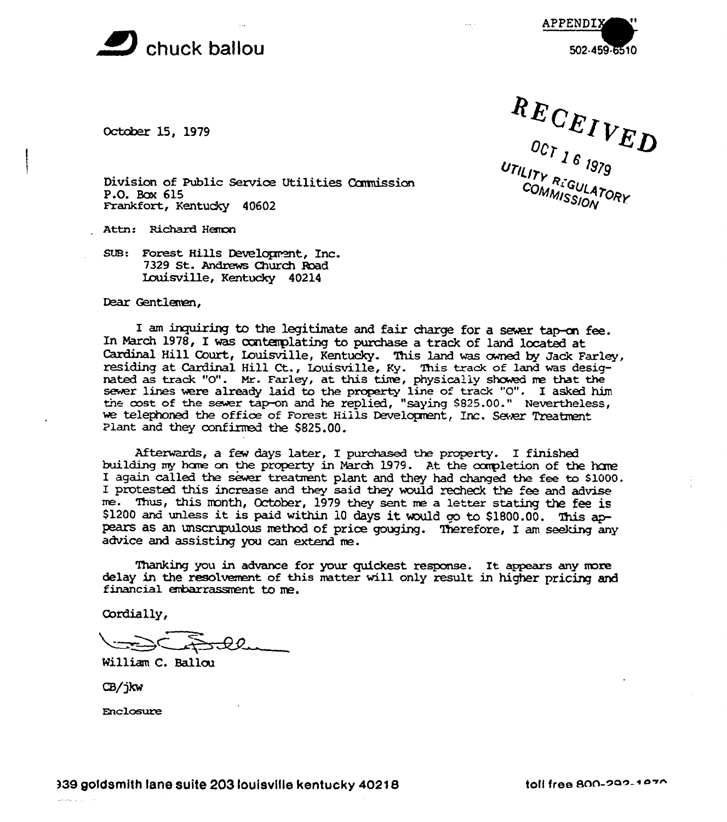

APPENDIX 502-459-6510

October 15, 1979

Jesus Commission<br>
Figure 2 16 1979<br>
Direction<br>
UTILITY RIGULATO<br>
COMMISSION<br>
Hemon COMMISSION, ORY

Division of Public Service Utilities Commission P.O. Box 615 Frankfort, Kentucky 40602

Attn: Richard

suB: Forest Hills Development, Inc. <sup>7329</sup> St. Andrews Church Red Iauisville, Kentucky 40214

Dear Gentlemen,

I am inquiring to the legitimate and fair charge for a sewer tap-on fee. In March 1978, I was oontenplating to purchase <sup>a</sup> track of land located at Cardinal Hill Court, Louisville, Kentucky. This land was owned by Jack Farley I am inquiring to the legitimate and fair charge for a sewer tap-on fee<br>In March 1978, I was contemplating to purchase a track of land located at<br>Cardinal Hill Court, Louisville, Kentucky. This land was owned by Jack Farle nated as track "0". Mr. Farley, at this tive, physically showed ne that the sewer lines were already laid to the property line of track "0". I asked him the cost of the sewer tap-on and he replied, "saying \$825.00." Nevertheless, we telephoned the office of Forest Hills Development, Inc. Sever Treatment Plant and they confirmed the \$825.00.

Afterwards, a few days latex, I purchased the property. I finished building my home on the property in March 1979. At the completion of the home I again called the sewer treatment plant and they had changed the fee to \$1000. Afterwards, a few days later, I purchased the property. I finished<br>building my home on the property in March 1979. At the completion of the home<br>I again called the sewer treatment plant and they had changed the fee to \$100 me. Thus, this month, October, 1979 they sent me a letter stating the fee is I protested this increase and they said they would recheck the fee and advise<br>me. Thus, this month, October, 1979 they sent me a letter stating the fee is<br>\$1200 and unless it is paid within 10 days it would go to \$1800.00. pears as an unscrupulous method of price gouging. Therefore, I am seeking any advice and assisting you can extend me.

Thanking you in advance for your quickest response. It appears any more delay in the resolvement of this matter will only result in higher pricing and financial embarrassment to me.

Cordially,

Milliam C. Ballcu

CB/jkw

Enclosure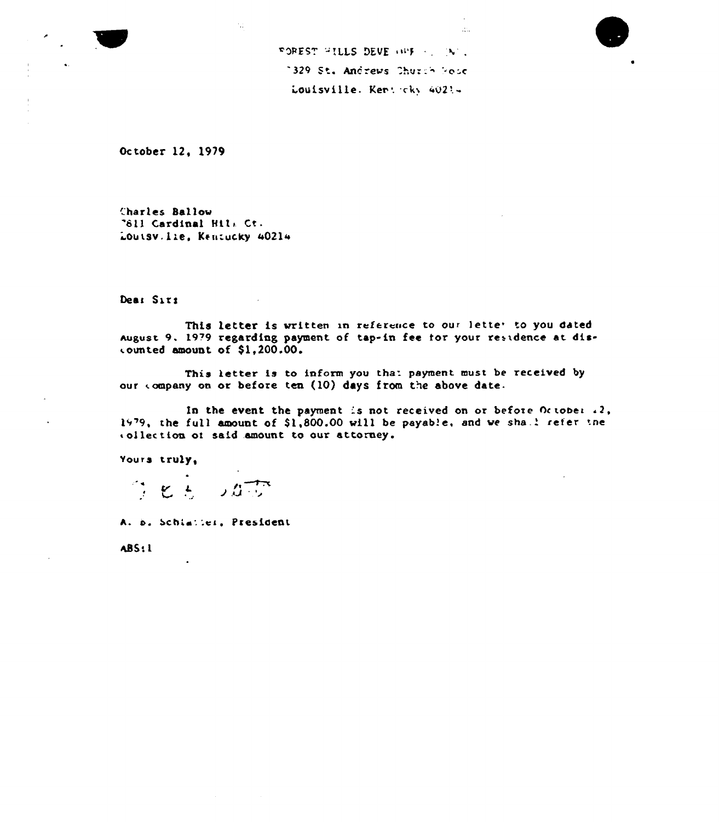

October 12, 1979

Charles Ballow "811 Cardinal Hill Ct. Louisv. Lie, Kentucky 40214

Dea: Siti

This letter is written in reference to our letter to you dated August 9. 1979 regarding payment of tap-in fee for your residence at discounted amount of \$1,200.00.

This letter is to inform you that payment must be received by our company on or before ten (10) days from the above date.

In the event the payment is not received on or before October  $\{2\}$ , 1979, the full amount of \$1,800.00 will be payable, and we shall refer the collection of said amount to our attorney.

Yours truly,

 $f: \mathcal{L} \rightarrow$ リカマス

A. b. Schiatter, President

**ABS:1**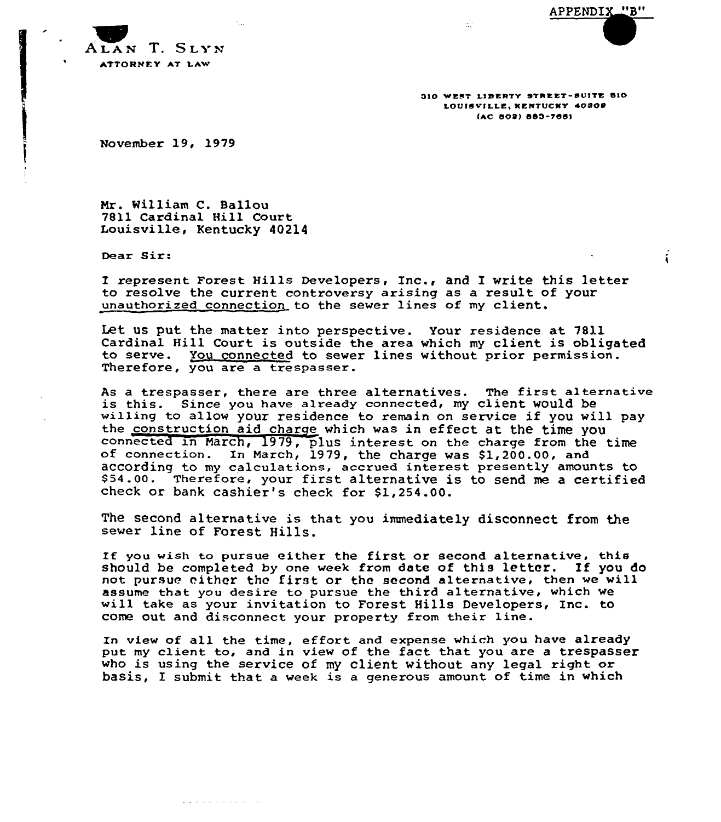APPENDIX "B"

 $\mathbf{i}$ 



310 WEST LIBERTY STREET-SUITE BIO LOUISVILLE, KENTUCKY 40202 (AC 802) 883-7661

November 19, 1979

Mr. William C. Ballou 7811 Cardinal Hill Court Louisville, Kentucky 40214

لمباديه والمالية والمتعارف والمالية

Dear Sir:

I represent Forest Hills Developers, Inc., and I write this letter to resolve the current controversy arising as a result of your unauthorized connection to the sewer lines of my client.

Let us put. the matter into perspective. Your residence at 7811 Cardinal Hill Court is outside the area which my client is obligated to serve. You connected to sewer lines without prior permission. Therefore, you are a trespasser.

As a trespasser, there are three alternatives. The first alternative is this. Since you have already connected, my client would be willing to allow your residence to remain on service if you will pay the construction aid charge which was in effect at the time you connected in March, 1979, plus interest on the charge from the time of connection. In March, 1979, the charge was \$1,200.00, and according to my calculations, accrued interest presently amounts to \$ 54.00. Therefore, your first alternative is to send me <sup>a</sup> certified check or bank cashier's check for \$1,254.00.

The second alternative is that you immediately disconnect from the sewer line of Forest Hills.

If you wish to pursue either the first or second alternative. this should be completed by one week from date of this letter. If you do not pursue either the first or the second alternative, then we will assume that you desire to pursue the third alternative, which we will take as your invitation to Forest Hills Developers< Inc. to come out and disconnect your property from their line.

In view of all the time, effort and expense which you have already put my client to, and in view of the fact that you are a trespasser who is using the service of my client without any legal right or basis, I submit that a week is a generous amount of time in which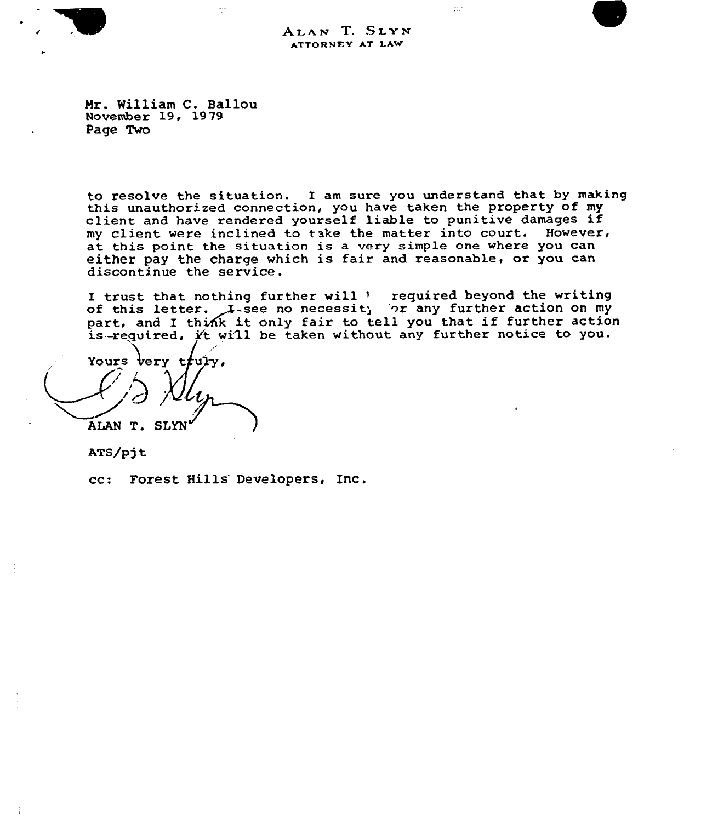ALAN T. SLYN ATTORNEY AT LAW

땂

Mr. William C. Ballou November 19, 1979 Page Two

 $\ddot{\cdot}$ 

to resolve the situation. I am sure you understand that by making<br>this unauthorized connection, you have taken the property of my client and have rendered yourself liable to punitive damages if my client were inclined to take the matter into court. However, at this point the situation is <sup>a</sup> very simple one where you can either pay the charge which is fair and reasonable, or you can discontinue the service .

I trust that nothing further will ' required beyond the writing of this letter. I-see no necessit, or any further action on my part, and I think it only fair to tell you that if further action is required,  $\acute{\chi}$ t will be taken without any further notice to you.

Yours very truly, ALAN T. 8

ATS/pjt

cc: Forest Hills Developers, Inc.